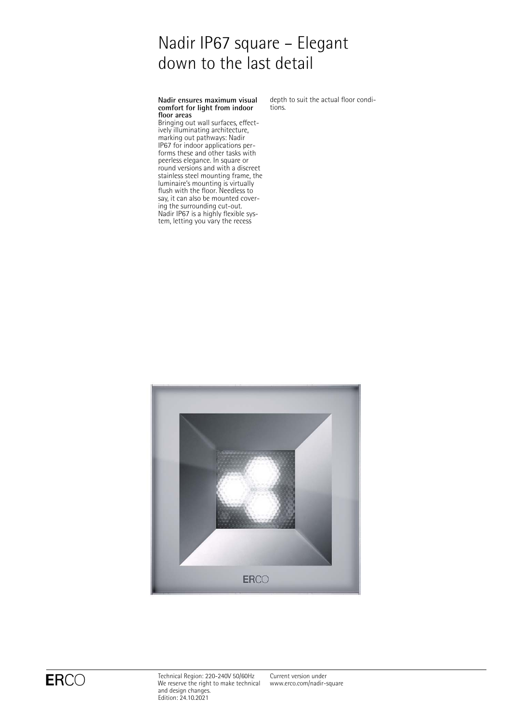# Nadir IP67 square – Elegant down to the last detail

### **Nadir ensures maximum visual comfort for light from indoor floor areas**

Bringing out wall surfaces, effectively illuminating architecture, marking out pathways: Nadir IP67 for indoor applications performs these and other tasks with peerless elegance. In square or round versions and with a discreet stainless steel mounting frame, the luminaire's mounting is virtually flush with the floor. Needless to say, it can also be mounted covering the surrounding cut-out. Nadir IP67 is a highly flexible system, letting you vary the recess

depth to suit the actual floor conditions.



 $\mathsf{ERCO} \qquad \qquad \begin{array}{l} \text{Technical Region: } 220\text{--}240\mathrm{V} \text{ } 50/60\mathrm{Hz} \ \text{We reserve the right to make technical} \end{array}$ and design changes. Edition: 24.10.2021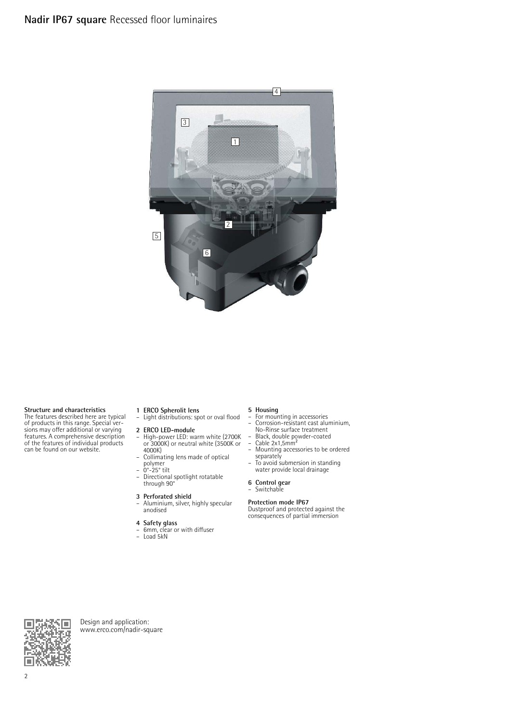

**Structure and characteristics** The features described here are typical of products in this range. Special ver-sions may offer additional or varying features. A comprehensive description of the features of individual products can be found on our website.

- **1 ERCO Spherolit lens** Light distributions: spot or oval flood
- **2 ERCO LED-module**<br>- High-nower LED: wa – High-power LED: warm white (2700K or 3000K) or neutral white (3500K or 4000K)
- Collimating lens made of optical polymer – 0°-25° tilt
- Directional spotlight rotatable through 90°
- **3 Perforated shield** Aluminium, silver, highly specular
- anodised
- **4 Safety glass** 6mm, clear or with diffuser Load 5kN
- 

- **5 Housing** For mounting in accessories
- Corrosion-resistant cast aluminium, No-Rinse surface treatment<br>- Black, double powder-coated<br>- Cable 2x1,5mm<sup>2</sup>
- 
- Mounting accessories to be ordered
- separately To avoid submersion in standing water provide local drainage
- 
- **6 Control gear** Switchable

### **Protection mode IP67**

Dustproof and protected against the consequences of partial immersion



Design and application: [www.erco.com/nadir-square](http://www.erco.com/nadir-square)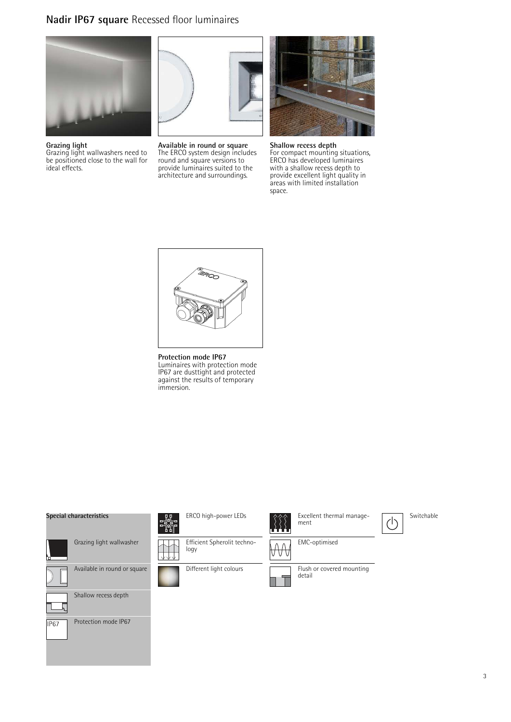## **Nadir IP67 square** Recessed floor luminaires



**Grazing light** Grazing light wallwashers need to be positioned close to the wall for ideal effects.



**Available in round or square** The ERCO system design includes round and square versions to provide luminaires suited to the architecture and surroundings.



**Shallow recess depth** For compact mounting situations, ERCO has developed luminaires with a shallow recess depth to provide excellent light quality in areas with limited installation space.



**Protection mode IP67** Luminaires with protection mode IP67 are dusttight and protected against the results of temporary immersion.

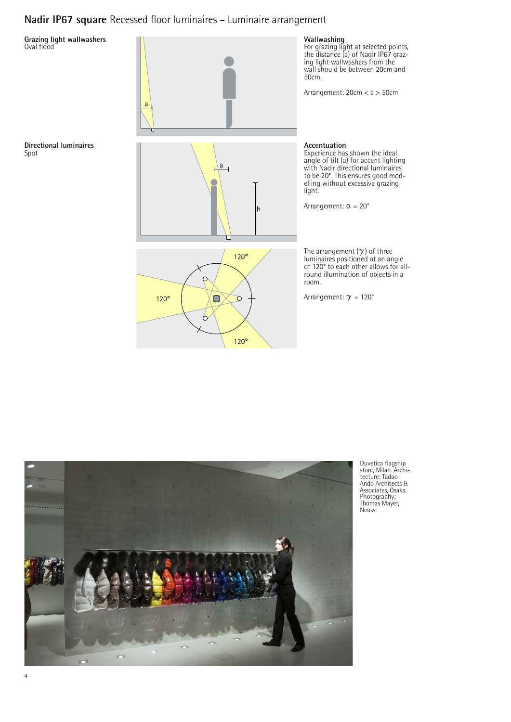## **Nadir IP67 square** Recessed floor luminaires – Luminaire arrangement





Duvetica flagship store, Milan. Archi-tecture: Tadao Ando Architects & Associates, Osaka. Photography: Thomas Mayer, Neuss.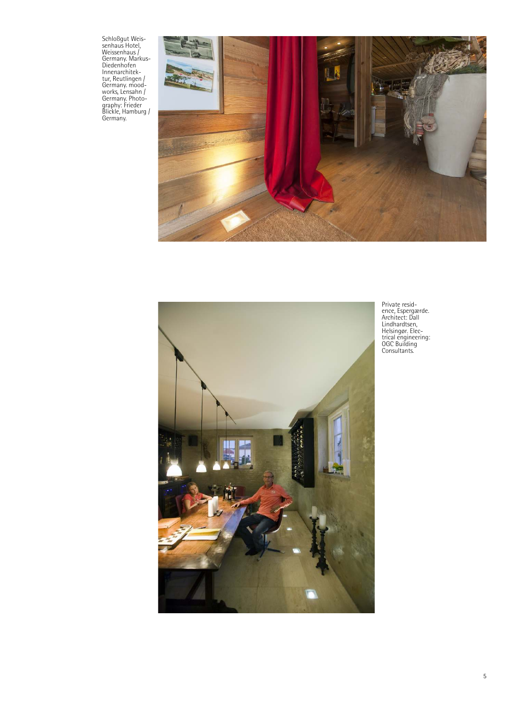Schloßgut Weissenhaus Hotel,<br>Weissenhaus /<br>Germany. Markus-<br>Diedenhofen<br>Innenarchitek-<br>Urr, Reutlingen /<br>Germany. mood-<br>works, Lensahn /<br>Germany. Photo-<br>Blackle, Hamburg /<br>Germany.<br>Germany.





Private resid-ence, Espergærde. Architect: Dall Lindhardtsen, Helsingør. Elec-trical engineering: OGC Building Consultants.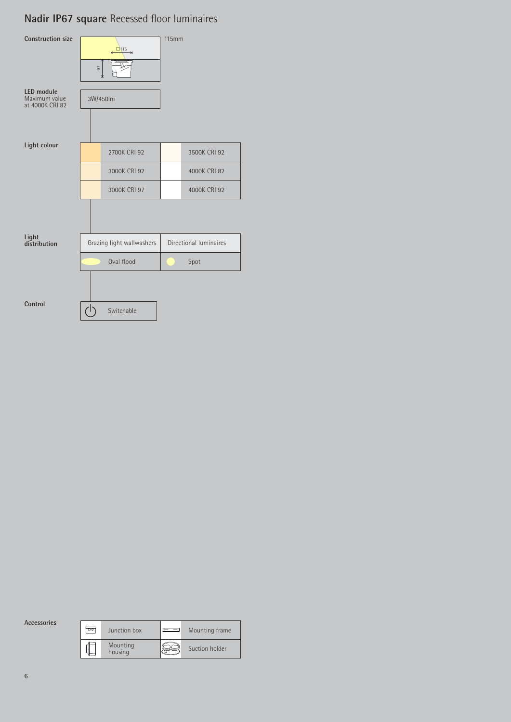## **Nadir IP67 square** Recessed floor luminaires

| <b>Construction size</b>                       | $\xrightarrow{\Box}$<br>57<br>v |              | <b>115mm</b>           |              |
|------------------------------------------------|---------------------------------|--------------|------------------------|--------------|
| LED module<br>Maximum value<br>at 4000K CRI 82 |                                 | 3W/450lm     |                        |              |
| Light colour                                   |                                 | 2700K CRI 92 |                        | 3500K CRI 92 |
|                                                |                                 | 3000K CRI 92 |                        | 4000K CRI 82 |
|                                                |                                 | 3000K CRI 97 |                        | 4000K CRI 92 |
|                                                |                                 |              |                        |              |
| Light<br>distribution                          | Grazing light wallwashers       |              | Directional luminaires |              |
|                                                | Oval flood                      |              | Spot                   |              |
|                                                |                                 |              |                        |              |
| Control                                        |                                 | Switchable   |                        |              |

**Accessories**

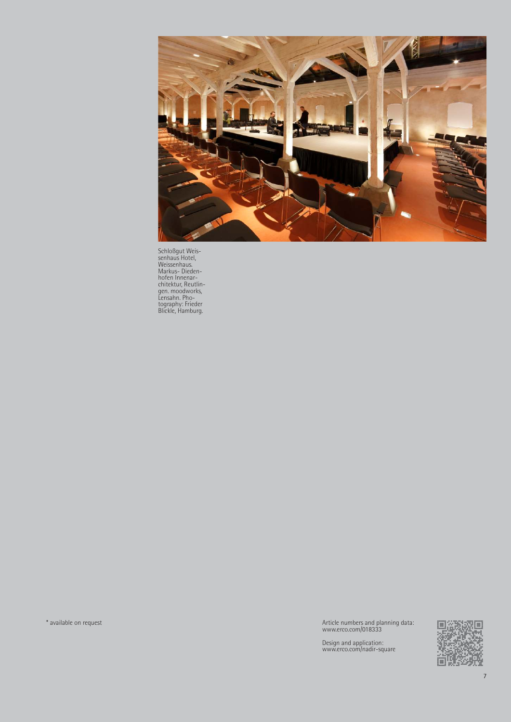

Schloßgut Weis-senhaus Hotel, Weissenhaus. Markus- Dieden-hofen Innenar-chitektur, Reutlin-gen. moodworks, Lensahn. Pho-tography: Frieder Blickle, Hamburg.

\* available on request Article numbers and planning data: www.erco.com/018333

Design and application: www.erco.com/nadir-square